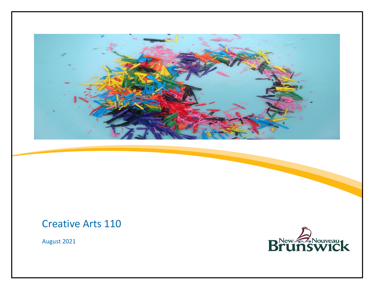

## Creative Arts 110

August 2021

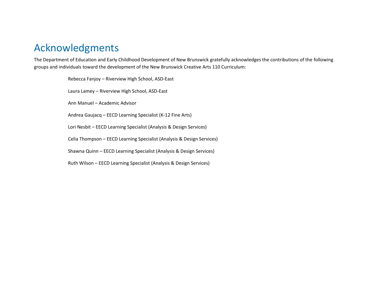## Acknowledgments

The Department of Education and Early Childhood Development of New Brunswick gratefully acknowledges the contributions of the following groups and individuals toward the development of the New Brunswick Creative Arts 110 Curriculum:

> Rebecca Fanjoy – Riverview High School, ASD-East Laura Lamey – Riverview High School, ASD-East Ann Manuel – Academic Advisor Andrea Gaujacq – EECD Learning Specialist (K-12 Fine Arts) Lori Nesbit – EECD Learning Specialist (Analysis & Design Services) Celia Thompson – EECD Learning Specialist (Analysis & Design Services) Shawna Quinn – EECD Learning Specialist (Analysis & Design Services) Ruth Wilson – EECD Learning Specialist (Analysis & Design Services)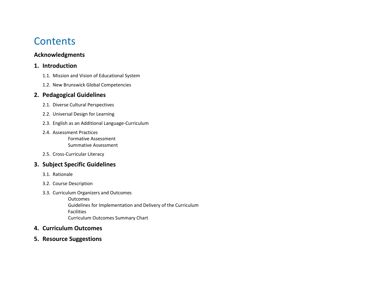## **Contents**

#### **Acknowledgments**

#### **1. Introduction**

- 1.1. Mission and Vision of Educational System
- 1.2. New Brunswick Global Competencies

#### **2. Pedagogical Guidelines**

- 2.1. Diverse Cultural Perspectives
- 2.2. Universal Design for Learning
- 2.3. English as an Additional Language-Curriculum
- 2.4. Assessment Practices Formative Assessment

Summative Assessment

2.5. Cross-Curricular Literacy

### **3. Subject Specific Guidelines**

- 3.1. Rationale
- 3.2. Course Description
- 3.3. Curriculum Organizers and Outcomes

**Outcomes** Guidelines for Implementation and Delivery of the Curriculum Facilities Curriculum Outcomes Summary Chart

#### **4. Curriculum Outcomes**

**5. Resource Suggestions**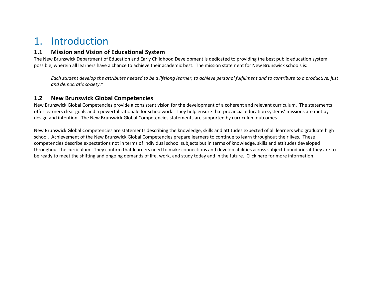## 1. Introduction

#### **1.1 Mission and Vision of Educational System**

The New Brunswick Department of Education and Early Childhood Development is dedicated to providing the best public education system possible, wherein all learners have a chance to achieve their academic best. The mission statement for New Brunswick schools is:

*Each student develop the attributes needed to be a lifelong learner, to achieve personal fulfillment and to contribute to a productive, just and democratic society."*

#### **1.2 New Brunswick Global Competencies**

New Brunswick Global Competencies provide a consistent vision for the development of a coherent and relevant curriculum. The statements offer learners clear goals and a powerful rationale for schoolwork. They help ensure that provincial education systems' missions are met by design and intention. The New Brunswick Global Competencies statements are supported by curriculum outcomes.

New Brunswick Global Competencies are statements describing the knowledge, skills and attitudes expected of all learners who graduate high school. Achievement of the New Brunswick Global Competencies prepare learners to continue to learn throughout their lives. These competencies describe expectations not in terms of individual school subjects but in terms of knowledge, skills and attitudes developed throughout the curriculum. They confirm that learners need to make connections and develop abilities across subject boundaries if they are to be ready to meet the shifting and ongoing demands of life, work, and study today and in the future. Click [here](https://collabe.nbed.nb.ca/sites/ccic/_layouts/15/start.aspx#/SitePages/Curriculum%20Renewal.aspx) for more information.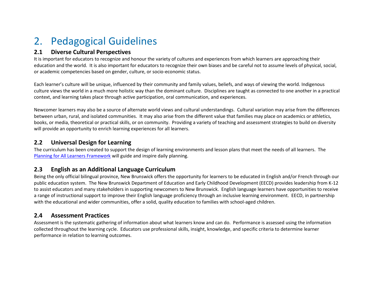# 2. Pedagogical Guidelines

#### **2.1 Diverse Cultural Perspectives**

It is important for educators to recognize and honour the variety of cultures and experiences from which learners are approaching their education and the world. It is also important for educators to recognize their own biases and be careful not to assume levels of physical, social, or academic competencies based on gender, culture, or socio-economic status.

Each learner's culture will be unique, influenced by their community and family values, beliefs, and ways of viewing the world. Indigenous culture views the world in a much more holistic way than the dominant culture. Disciplines are taught as connected to one another in a practical context, and learning takes place through active participation, oral communication, and experiences.

Newcomer learners may also be a source of alternate world views and cultural understandings. Cultural variation may arise from the differences between urban, rural, and isolated communities. It may also arise from the different value that families may place on academics or athletics, books, or media, theoretical or practical skills, or on community. Providing a variety of teaching and assessment strategies to build on diversity will provide an opportunity to enrich learning experiences for all learners.

#### **2.2 Universal Design for Learning**

The curriculum has been created to support the design of learning environments and lesson plans that meet the needs of all learners. The [Planning for All Learners Framework](https://www2.gnb.ca/content/dam/gnb/Departments/ed/pdf/QuickTips.pdf) will guide and inspire daily planning.

### **2.3 English as an Additional Language Curriculum**

Being the only official bilingual province, New Brunswick offers the opportunity for learners to be educated in English and/or French through our public education system. The New Brunswick Department of Education and Early Childhood Development (EECD) provides leadership from K-12 to assist educators and many stakeholders in supporting newcomers to New Brunswick. English language learners have opportunities to receive a range of instructional support to improve their English language proficiency through an inclusive learning environment. EECD, in partnership with the educational and wider communities, offer a solid, quality education to families with school-aged children.

### **2.4 Assessment Practices**

Assessment is the systematic gathering of information about what learners know and can do. Performance is assessed using the information collected throughout the learning cycle. Educators use professional skills, insight, knowledge, and specific criteria to determine learner performance in relation to learning outcomes.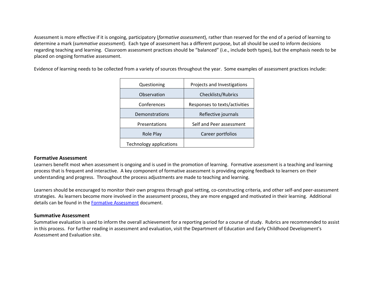Assessment is more effective if it is ongoing, participatory (*formative assessment*), rather than reserved for the end of a period of learning to determine a mark (*summative assessment*). Each type of assessment has a different purpose, but all should be used to inform decisions regarding teaching and learning. Classroom assessment practices should be "[balanced](https://portal.nbed.nb.ca/tr/AaE/Documents/FINAL%20Balanced%20Assessment%20Doc%20April%208%202014.pdf)" (i.e., include both types), but the emphasis needs to be placed on ongoing formative assessment.

Evidence of learning needs to be collected from a variety of sources throughout the year. Some examples of assessment practices include:

| Questioning             | Projects and Investigations   |  |
|-------------------------|-------------------------------|--|
| Observation             | Checklists/Rubrics            |  |
| Conferences             | Responses to texts/activities |  |
| Demonstrations          | Reflective journals           |  |
| Presentations           | Self and Peer assessment      |  |
| Role Play               | Career portfolios             |  |
| Technology applications |                               |  |

#### **Formative Assessment**

Learners benefit most when assessment is ongoing and is used in the promotion of learning. Formative assessment is a teaching and learning process that is frequent and interactive. A key component of formative assessment is providing ongoing feedback to learners on their understanding and progress. Throughout the process adjustments are made to teaching and learning.

Learners should be encouraged to monitor their own progress through goal setting, co-constructing criteria, and other self-and peer-assessment strategies. As learners become more involved in the assessment process, they are more engaged and motivated in their learning. Additional details can be found in the [Formative Assessment](https://collabe.nbed.nb.ca/res/sa/gr/gendocs/Formative%20Assessment%20Quick%20Reference.pdf) document.

#### **Summative Assessment**

Summative evaluation is used to inform the overall achievement for a reporting period for a course of study. Rubrics are recommended to assist in this process. For further reading in assessment and evaluation, visit the Department of Education and Early Childhood Development's Assessment and Evaluation site.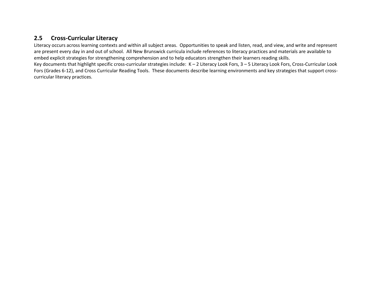#### **2.5 Cross-Curricular Literacy**

Literacy occurs across learning contexts and within all subject areas. Opportunities to speak and listen, read, and view, and write and represent are present every day in and out of school. All New Brunswick curricula include references to literacy practices and materials are available to embed explicit strategies for strengthening comprehension and to help educators strengthen their learners reading skills. Key documents that highlight specific cross-curricular strategies include: K – 2 Literacy Look Fors, 3 – 5 Literacy Look Fors, Cross-Curricular Look Fors (Grades 6-12), and Cross Curricular Reading Tools. These documents describe learning environments and key strategies that support crosscurricular literacy practices.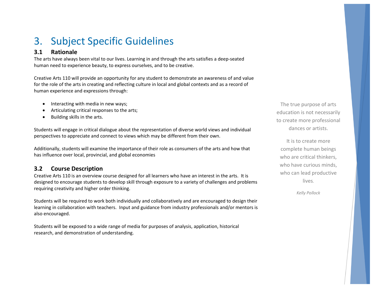# 3. Subject Specific Guidelines

#### **3.1 Rationale**

The arts have always been vital to our lives. Learning in and through the arts satisfies a deep-seated human need to experience beauty, to express ourselves, and to be creative.

Creative Arts 110 will provide an opportunity for any student to demonstrate an awareness of and value for the role of the arts in creating and reflecting culture in local and global contexts and as a record of human experience and expressions through:

- Interacting with media in new ways;
- Articulating critical responses to the arts;
- Building skills in the arts.

Students will engage in critical dialogue about the representation of diverse world views and individual perspectives to appreciate and connect to views which may be different from their own.

Additionally, students will examine the importance of their role as consumers of the arts and how that has influence over local, provincial, and global economies

### **3.2 Course Description**

Creative Arts 110 is an overview course designed for all learners who have an interest in the arts. It is designed to encourage students to develop skill through exposure to a variety of challenges and problems requiring creativity and higher order thinking.

Students will be required to work both individually and collaboratively and are encouraged to design their learning in collaboration with teachers. Input and guidance from industry professionals and/or mentors is also encouraged.

Students will be exposed to a wide range of media for purposes of analysis, application, historical research, and demonstration of understanding.

The true purpose of arts education is not necessarily to create more professional dances or artists.

It is to create more complete human beings who are critical thinkers, who have curious minds, who can lead productive lives.

*Kelly Pollock*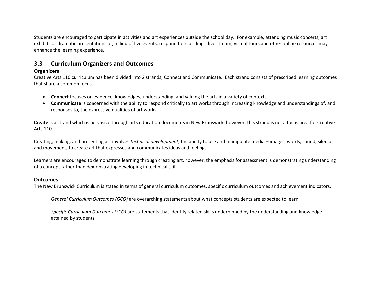Students are encouraged to participate in activities and art experiences outside the school day. For example, attending music concerts, art exhibits or dramatic presentations or, in lieu of live events, respond to recordings, live stream, virtual tours and other online resources may enhance the learning experience.

#### **3.3 Curriculum Organizers and Outcomes**

#### **Organizers**

Creative Arts 110 curriculum has been divided into 2 strands; Connect and Communicate. Each strand consists of prescribed learning outcomes that share a common focus.

- **Connect** focuses on evidence, knowledges, understanding, and valuing the arts in a variety of contexts.
- **Communicate** is concerned with the ability to respond critically to art works through increasing knowledge and understandings of, and responses to, the expressive qualities of art works.

**Create** is a strand which is pervasive through arts education documents in New Brunswick, however, this strand is not a focus area for Creative Arts 110.

Creating, making, and presenting art involves *technical development*; the ability to use and manipulate media – images, words, sound, silence, and movement, to create art that expresses and communicates ideas and feelings.

Learners are encouraged to demonstrate learning through creating art, however, the emphasis for assessment is demonstrating understanding of a concept rather than demonstrating developing in technical skill.

#### **Outcomes**

The New Brunswick Curriculum is stated in terms of general curriculum outcomes, specific curriculum outcomes and achievement indicators.

*General Curriculum Outcomes (GCO)* are overarching statements about what concepts students are expected to learn.

*Specific Curriculum Outcomes (SCO)* are statements that identify related skills underpinned by the understanding and knowledge attained by students.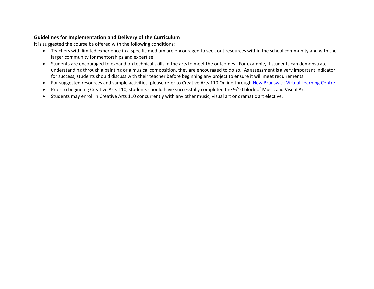#### **Guidelines for Implementation and Delivery of the Curriculum**

It is suggested the course be offered with the following conditions:

- Teachers with limited experience in a specific medium are encouraged to seek out resources within the school community and with the larger community for mentorships and expertise.
- Students are encouraged to expand on technical skills in the arts to meet the outcomes. For example, if students can demonstrate understanding through a painting or a musical composition, they are encouraged to do so. As assessment is a very important indicator for success, students should discuss with their teacher before beginning any project to ensure it will meet requirements.
- For suggested resources and sample activities, please refer to Creative Arts 110 Online through [New Brunswick Virtual Learning Ce](https://nbvhs-nbed.brightspace.com/d2l/home)ntre.
- Prior to beginning Creative Arts 110, students should have successfully completed the 9/10 block of Music and Visual Art.
- Students may enroll in Creative Arts 110 concurrently with any other music, visual art or dramatic art elective.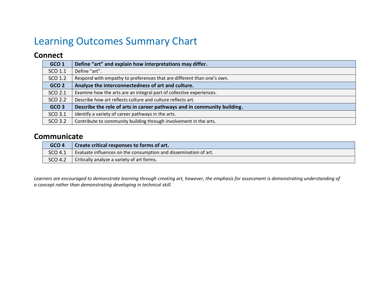# Learning Outcomes Summary Chart

### **Connect**

| GCO <sub>1</sub> | Define "art" and explain how interpretations may differ.                |
|------------------|-------------------------------------------------------------------------|
| SCO 1.1          | Define "art".                                                           |
| SCO 1.2          | Respond with empathy to preferences that are different than one's own.  |
| GCO <sub>2</sub> | Analyze the interconnectedness of art and culture.                      |
| SCO 2.1          | Examine how the arts are an integral part of collective experiences.    |
| SCO 2.2          | Describe how art reflects culture and culture reflects art.             |
| GCO <sub>3</sub> | Describe the role of arts in career pathways and in community building. |
| SCO 3.1          | Identify a variety of career pathways in the arts.                      |
| SCO 3.2          | Contribute to community building through involvement in the arts.       |

### **Communicate**

| GCO <sub>4</sub> | Create critical responses to forms of art.                       |
|------------------|------------------------------------------------------------------|
| SCO 4.1          | Evaluate influences on the consumption and dissemination of art. |
| SCO 4.2          | Critically analyze a variety of art forms.                       |

*Learners are encouraged to demonstrate learning through creating art, however, the emphasis for assessment is demonstrating understanding of a concept rather than demonstrating developing in technical skill.*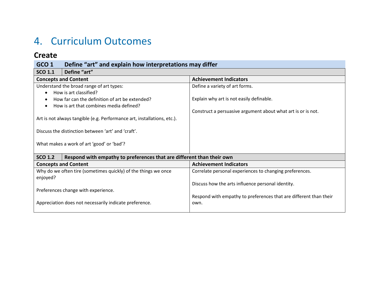# 4. Curriculum Outcomes

### **Create**

### **GCO 1 Define "art" and explain how interpretations may differ**

| <b>SCO 1.1</b><br>Define "art"                                                          |                                                                   |  |
|-----------------------------------------------------------------------------------------|-------------------------------------------------------------------|--|
| <b>Concepts and Content</b>                                                             | <b>Achievement Indicators</b>                                     |  |
| Understand the broad range of art types:                                                | Define a variety of art forms.                                    |  |
| How is art classified?                                                                  |                                                                   |  |
| How far can the definition of art be extended?                                          | Explain why art is not easily definable.                          |  |
| How is art that combines media defined?                                                 |                                                                   |  |
|                                                                                         | Construct a persuasive argument about what art is or is not.      |  |
| Art is not always tangible (e.g. Performance art, installations, etc.).                 |                                                                   |  |
|                                                                                         |                                                                   |  |
| Discuss the distinction between 'art' and 'craft'.                                      |                                                                   |  |
|                                                                                         |                                                                   |  |
| What makes a work of art 'good' or 'bad'?                                               |                                                                   |  |
|                                                                                         |                                                                   |  |
| Respond with empathy to preferences that are different than their own<br><b>SCO 1.2</b> |                                                                   |  |
| <b>Concepts and Content</b>                                                             | <b>Achievement Indicators</b>                                     |  |
| Why do we often tire (sometimes quickly) of the things we once                          | Correlate personal experiences to changing preferences.           |  |
| enjoyed?                                                                                |                                                                   |  |
|                                                                                         | Discuss how the arts influence personal identity.                 |  |
| Preferences change with experience.                                                     |                                                                   |  |
|                                                                                         | Respond with empathy to preferences that are different than their |  |
| Appreciation does not necessarily indicate preference.                                  | own.                                                              |  |
|                                                                                         |                                                                   |  |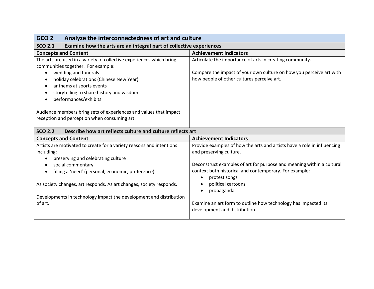| Examine how the arts are an integral part of collective experiences<br><b>Achievement Indicators</b><br>Articulate the importance of arts in creating community.<br>Compare the impact of your own culture on how you perceive art with<br>how people of other cultures perceive art.                                                                                                                      |
|------------------------------------------------------------------------------------------------------------------------------------------------------------------------------------------------------------------------------------------------------------------------------------------------------------------------------------------------------------------------------------------------------------|
|                                                                                                                                                                                                                                                                                                                                                                                                            |
|                                                                                                                                                                                                                                                                                                                                                                                                            |
|                                                                                                                                                                                                                                                                                                                                                                                                            |
|                                                                                                                                                                                                                                                                                                                                                                                                            |
|                                                                                                                                                                                                                                                                                                                                                                                                            |
| <b>Achievement Indicators</b>                                                                                                                                                                                                                                                                                                                                                                              |
| Provide examples of how the arts and artists have a role in influencing<br>and preserving culture.<br>Deconstruct examples of art for purpose and meaning within a cultural<br>context both historical and contemporary. For example:<br>protest songs<br>$\bullet$<br>political cartoons<br>propaganda<br>Examine an art form to outline how technology has impacted its<br>development and distribution. |
|                                                                                                                                                                                                                                                                                                                                                                                                            |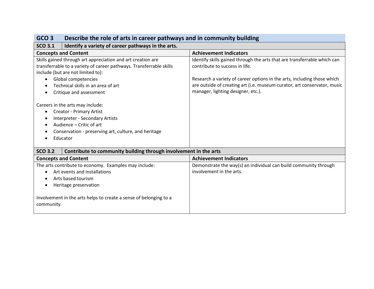| Describe the role of arts in career pathways and in community building<br>GCO <sub>3</sub>                                                                                                                          |                                                                          |
|---------------------------------------------------------------------------------------------------------------------------------------------------------------------------------------------------------------------|--------------------------------------------------------------------------|
| <b>SCO 3.1</b><br>Identify a variety of career pathways in the arts.                                                                                                                                                |                                                                          |
| <b>Concepts and Content</b>                                                                                                                                                                                         | <b>Achievement Indicators</b>                                            |
| Skills gained through art appreciation and art creation are                                                                                                                                                         | Identify skills gained through the arts that are transferrable which can |
| transferrable to a variety of career pathways. Transferrable skills                                                                                                                                                 | contribute to success in life.                                           |
| include (but are not limited to):                                                                                                                                                                                   |                                                                          |
| Global competencies<br>$\bullet$                                                                                                                                                                                    | Research a variety of career options in the arts, including those which  |
| Technical skills in an area of art                                                                                                                                                                                  | are outside of creating art (i.e. museum curator, art conservator, music |
| Critique and assessment                                                                                                                                                                                             | manager, lighting designer, etc.).                                       |
| Careers in the arts may include:<br><b>Creator - Primary Artist</b><br>$\bullet$<br>Interpreter - Secondary Artists<br>Audience - Critic of art<br>Conservation - preserving art, culture, and heritage<br>Educator |                                                                          |
| <b>SCO 3.2</b><br>Contribute to community building through involvement in the arts                                                                                                                                  |                                                                          |
| <b>Concepts and Content</b>                                                                                                                                                                                         | <b>Achievement Indicators</b>                                            |
| The arts contribute to economy. Examples may include:                                                                                                                                                               | Demonstrate the way(s) an individual can build community through         |
| Art events and installations<br>$\bullet$                                                                                                                                                                           | involvement in the arts.                                                 |
| Arts based tourism                                                                                                                                                                                                  |                                                                          |
| Heritage preservation                                                                                                                                                                                               |                                                                          |
| Involvement in the arts helps to create a sense of belonging to a<br>community.                                                                                                                                     |                                                                          |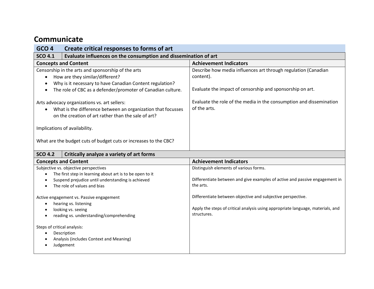### **Communicate**

| Create critical responses to forms of art<br>GCO <sub>4</sub>                                                                                                                                                    |                                                                                                                                          |  |
|------------------------------------------------------------------------------------------------------------------------------------------------------------------------------------------------------------------|------------------------------------------------------------------------------------------------------------------------------------------|--|
| Evaluate influences on the consumption and dissemination of art<br><b>SCO 4.1</b>                                                                                                                                |                                                                                                                                          |  |
| <b>Concepts and Content</b>                                                                                                                                                                                      | <b>Achievement Indicators</b>                                                                                                            |  |
| Censorship in the arts and sponsorship of the arts<br>How are they similar/different?<br>Why is it necessary to have Canadian Content regulation?<br>The role of CBC as a defender/promoter of Canadian culture. | Describe how media influences art through regulation (Canadian<br>content).<br>Evaluate the impact of censorship and sponsorship on art. |  |
| Arts advocacy organizations vs. art sellers:<br>What is the difference between an organization that focusses<br>on the creation of art rather than the sale of art?                                              | Evaluate the role of the media in the consumption and dissemination<br>of the arts.                                                      |  |
| Implications of availability.                                                                                                                                                                                    |                                                                                                                                          |  |
| What are the budget cuts of budget cuts or increases to the CBC?                                                                                                                                                 |                                                                                                                                          |  |
| <b>SCO 4.2</b><br>Critically analyze a variety of art forms                                                                                                                                                      |                                                                                                                                          |  |

| <b>Concepts and Content</b>                                                                                                        | <b>Achievement Indicators</b>                                                                                                                                 |
|------------------------------------------------------------------------------------------------------------------------------------|---------------------------------------------------------------------------------------------------------------------------------------------------------------|
| Subjective vs. objective perspectives                                                                                              | Distinguish elements of various forms.                                                                                                                        |
| The first step in learning about art is to be open to it                                                                           |                                                                                                                                                               |
| Suspend prejudice until understanding is achieved                                                                                  | Differentiate between and give examples of active and passive engagement in                                                                                   |
| The role of values and bias                                                                                                        | the arts.                                                                                                                                                     |
| Active engagement vs. Passive engagement<br>hearing vs. listening<br>looking vs. seeing<br>reading vs. understanding/comprehending | Differentiate between objective and subjective perspective.<br>Apply the steps of critical analysis using appropriate language, materials, and<br>structures. |
| Steps of critical analysis:                                                                                                        |                                                                                                                                                               |
| Description                                                                                                                        |                                                                                                                                                               |
| Analysis (includes Context and Meaning)                                                                                            |                                                                                                                                                               |
| Judgement                                                                                                                          |                                                                                                                                                               |
|                                                                                                                                    |                                                                                                                                                               |